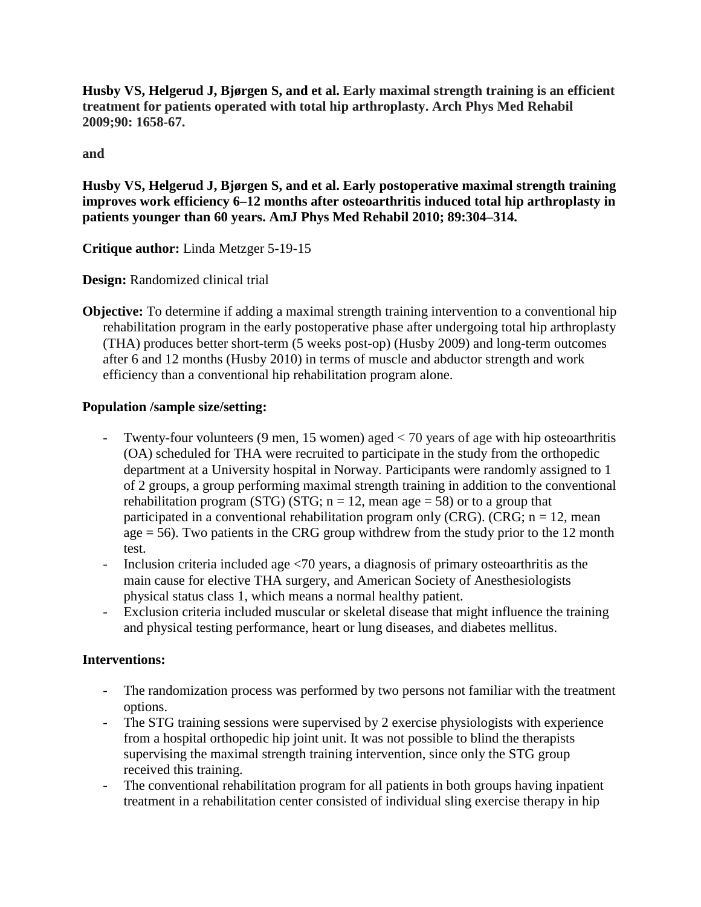**Husby VS, Helgerud J, Bjørgen S, and et al. Early maximal strength training is an efficient treatment for patients operated with total hip arthroplasty. Arch Phys Med Rehabil 2009;90: 1658-67.**

**and**

**Husby VS, Helgerud J, Bjørgen S, and et al. Early postoperative maximal strength training improves work efficiency 6–12 months after osteoarthritis induced total hip arthroplasty in patients younger than 60 years. AmJ Phys Med Rehabil 2010; 89:304–314.**

**Critique author:** Linda Metzger 5-19-15

**Design:** Randomized clinical trial

**Objective:** To determine if adding a maximal strength training intervention to a conventional hip rehabilitation program in the early postoperative phase after undergoing total hip arthroplasty (THA) produces better short-term (5 weeks post-op) (Husby 2009) and long-term outcomes after 6 and 12 months (Husby 2010) in terms of muscle and abductor strength and work efficiency than a conventional hip rehabilitation program alone.

# **Population /sample size/setting:**

- Twenty-four volunteers (9 men, 15 women) aged < 70 years of age with hip osteoarthritis (OA) scheduled for THA were recruited to participate in the study from the orthopedic department at a University hospital in Norway. Participants were randomly assigned to 1 of 2 groups, a group performing maximal strength training in addition to the conventional rehabilitation program (STG) (STG;  $n = 12$ , mean age = 58) or to a group that participated in a conventional rehabilitation program only (CRG). (CRG;  $n = 12$ , mean age  $= 56$ ). Two patients in the CRG group withdrew from the study prior to the 12 month test.
- Inclusion criteria included age <70 years, a diagnosis of primary osteoarthritis as the main cause for elective THA surgery, and American Society of Anesthesiologists physical status class 1, which means a normal healthy patient.
- Exclusion criteria included muscular or skeletal disease that might influence the training and physical testing performance, heart or lung diseases, and diabetes mellitus.

# **Interventions:**

- The randomization process was performed by two persons not familiar with the treatment options.
- The STG training sessions were supervised by 2 exercise physiologists with experience from a hospital orthopedic hip joint unit. It was not possible to blind the therapists supervising the maximal strength training intervention, since only the STG group received this training.
- The conventional rehabilitation program for all patients in both groups having inpatient treatment in a rehabilitation center consisted of individual sling exercise therapy in hip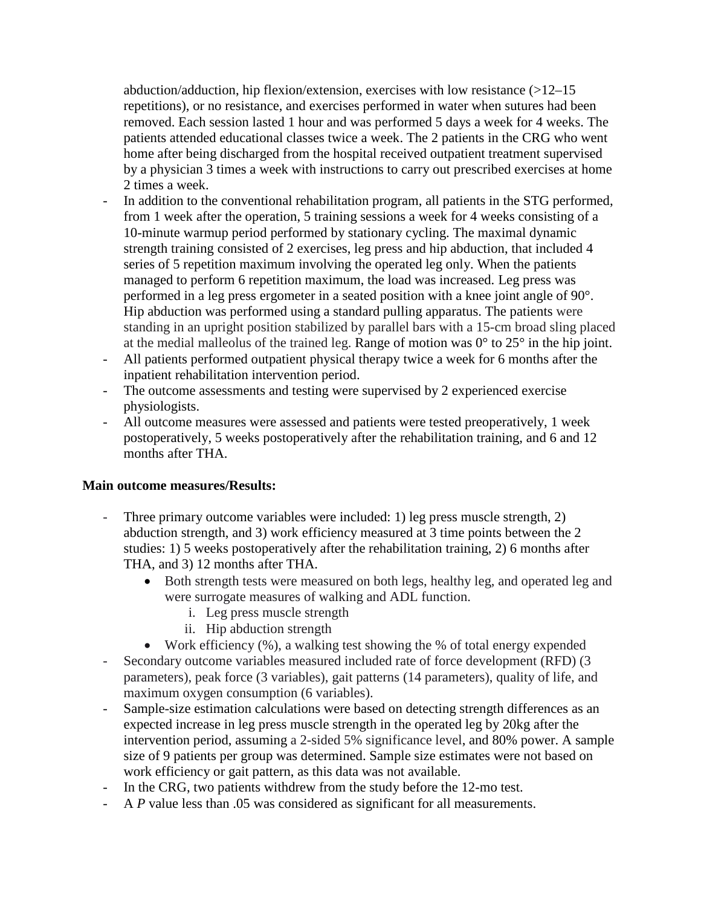abduction/adduction, hip flexion/extension, exercises with low resistance  $(>12-15$ repetitions), or no resistance, and exercises performed in water when sutures had been removed. Each session lasted 1 hour and was performed 5 days a week for 4 weeks. The patients attended educational classes twice a week. The 2 patients in the CRG who went home after being discharged from the hospital received outpatient treatment supervised by a physician 3 times a week with instructions to carry out prescribed exercises at home 2 times a week.

- In addition to the conventional rehabilitation program, all patients in the STG performed, from 1 week after the operation, 5 training sessions a week for 4 weeks consisting of a 10-minute warmup period performed by stationary cycling. The maximal dynamic strength training consisted of 2 exercises, leg press and hip abduction, that included 4 series of 5 repetition maximum involving the operated leg only. When the patients managed to perform 6 repetition maximum, the load was increased. Leg press was performed in a leg press ergometer in a seated position with a knee joint angle of 90°. Hip abduction was performed using a standard pulling apparatus. The patients were standing in an upright position stabilized by parallel bars with a 15-cm broad sling placed at the medial malleolus of the trained leg. Range of motion was  $0^{\circ}$  to  $25^{\circ}$  in the hip joint.
- All patients performed outpatient physical therapy twice a week for 6 months after the inpatient rehabilitation intervention period.
- The outcome assessments and testing were supervised by 2 experienced exercise physiologists.
- All outcome measures were assessed and patients were tested preoperatively, 1 week postoperatively, 5 weeks postoperatively after the rehabilitation training, and 6 and 12 months after THA.

#### **Main outcome measures/Results:**

- Three primary outcome variables were included: 1) leg press muscle strength, 2) abduction strength, and 3) work efficiency measured at 3 time points between the 2 studies: 1) 5 weeks postoperatively after the rehabilitation training, 2) 6 months after THA, and 3) 12 months after THA.
	- Both strength tests were measured on both legs, healthy leg, and operated leg and were surrogate measures of walking and ADL function.
		- i. Leg press muscle strength
		- ii. Hip abduction strength
	- Work efficiency (%), a walking test showing the % of total energy expended
- Secondary outcome variables measured included rate of force development (RFD) (3 parameters), peak force (3 variables), gait patterns (14 parameters), quality of life, and maximum oxygen consumption (6 variables).
- Sample-size estimation calculations were based on detecting strength differences as an expected increase in leg press muscle strength in the operated leg by 20kg after the intervention period, assuming a 2-sided 5% significance level, and 80% power. A sample size of 9 patients per group was determined. Sample size estimates were not based on work efficiency or gait pattern, as this data was not available.
- In the CRG, two patients withdrew from the study before the 12-mo test.
- A *P* value less than .05 was considered as significant for all measurements.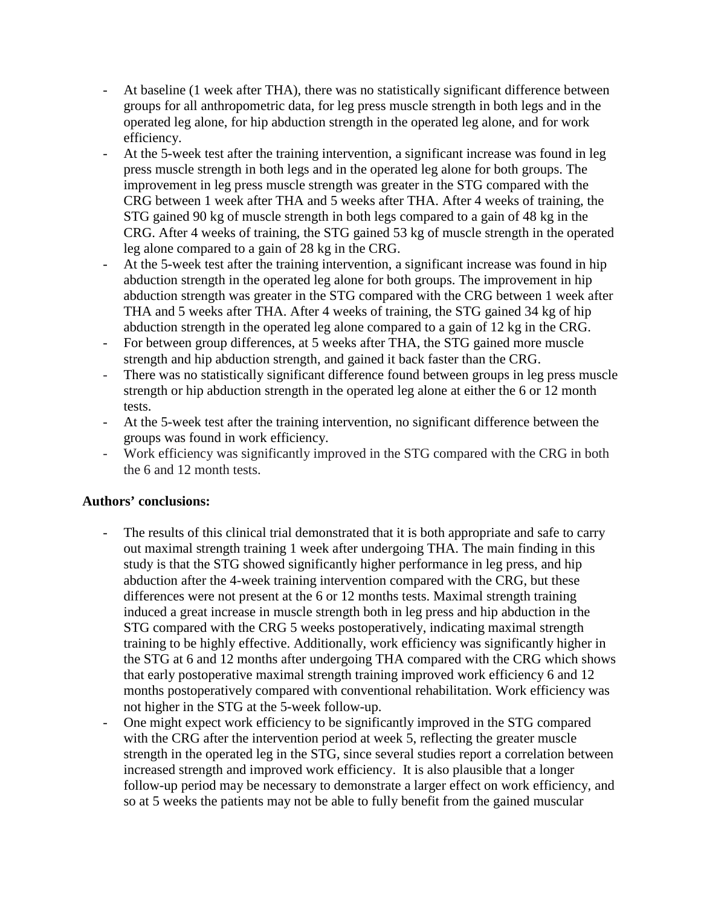- At baseline (1 week after THA), there was no statistically significant difference between groups for all anthropometric data, for leg press muscle strength in both legs and in the operated leg alone, for hip abduction strength in the operated leg alone, and for work efficiency.
- At the 5-week test after the training intervention, a significant increase was found in leg press muscle strength in both legs and in the operated leg alone for both groups. The improvement in leg press muscle strength was greater in the STG compared with the CRG between 1 week after THA and 5 weeks after THA. After 4 weeks of training, the STG gained 90 kg of muscle strength in both legs compared to a gain of 48 kg in the CRG. After 4 weeks of training, the STG gained 53 kg of muscle strength in the operated leg alone compared to a gain of 28 kg in the CRG.
- At the 5-week test after the training intervention, a significant increase was found in hip abduction strength in the operated leg alone for both groups. The improvement in hip abduction strength was greater in the STG compared with the CRG between 1 week after THA and 5 weeks after THA. After 4 weeks of training, the STG gained 34 kg of hip abduction strength in the operated leg alone compared to a gain of 12 kg in the CRG.
- For between group differences, at 5 weeks after THA, the STG gained more muscle strength and hip abduction strength, and gained it back faster than the CRG.
- There was no statistically significant difference found between groups in leg press muscle strength or hip abduction strength in the operated leg alone at either the 6 or 12 month tests.
- At the 5-week test after the training intervention, no significant difference between the groups was found in work efficiency.
- Work efficiency was significantly improved in the STG compared with the CRG in both the 6 and 12 month tests.

### **Authors' conclusions:**

- The results of this clinical trial demonstrated that it is both appropriate and safe to carry out maximal strength training 1 week after undergoing THA. The main finding in this study is that the STG showed significantly higher performance in leg press, and hip abduction after the 4-week training intervention compared with the CRG, but these differences were not present at the 6 or 12 months tests. Maximal strength training induced a great increase in muscle strength both in leg press and hip abduction in the STG compared with the CRG 5 weeks postoperatively, indicating maximal strength training to be highly effective. Additionally, work efficiency was significantly higher in the STG at 6 and 12 months after undergoing THA compared with the CRG which shows that early postoperative maximal strength training improved work efficiency 6 and 12 months postoperatively compared with conventional rehabilitation. Work efficiency was not higher in the STG at the 5-week follow-up.
- One might expect work efficiency to be significantly improved in the STG compared with the CRG after the intervention period at week 5, reflecting the greater muscle strength in the operated leg in the STG, since several studies report a correlation between increased strength and improved work efficiency. It is also plausible that a longer follow-up period may be necessary to demonstrate a larger effect on work efficiency, and so at 5 weeks the patients may not be able to fully benefit from the gained muscular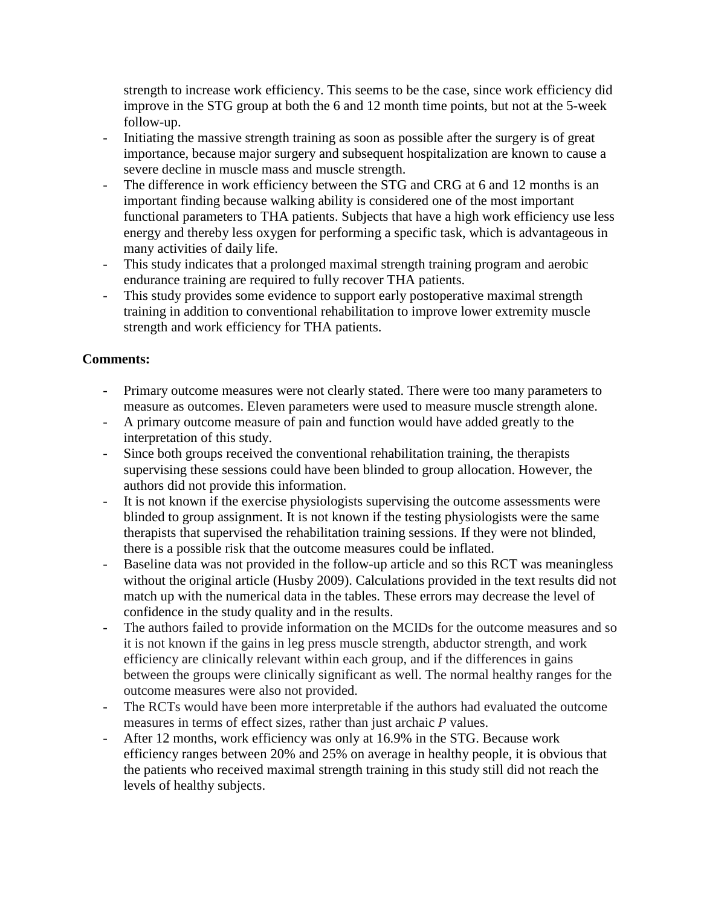strength to increase work efficiency. This seems to be the case, since work efficiency did improve in the STG group at both the 6 and 12 month time points, but not at the 5-week follow-up.

- Initiating the massive strength training as soon as possible after the surgery is of great importance, because major surgery and subsequent hospitalization are known to cause a severe decline in muscle mass and muscle strength.
- The difference in work efficiency between the STG and CRG at 6 and 12 months is an important finding because walking ability is considered one of the most important functional parameters to THA patients. Subjects that have a high work efficiency use less energy and thereby less oxygen for performing a specific task, which is advantageous in many activities of daily life.
- This study indicates that a prolonged maximal strength training program and aerobic endurance training are required to fully recover THA patients.
- This study provides some evidence to support early postoperative maximal strength training in addition to conventional rehabilitation to improve lower extremity muscle strength and work efficiency for THA patients.

# **Comments:**

- Primary outcome measures were not clearly stated. There were too many parameters to measure as outcomes. Eleven parameters were used to measure muscle strength alone.
- A primary outcome measure of pain and function would have added greatly to the interpretation of this study.
- Since both groups received the conventional rehabilitation training, the therapists supervising these sessions could have been blinded to group allocation. However, the authors did not provide this information.
- It is not known if the exercise physiologists supervising the outcome assessments were blinded to group assignment. It is not known if the testing physiologists were the same therapists that supervised the rehabilitation training sessions. If they were not blinded, there is a possible risk that the outcome measures could be inflated.
- Baseline data was not provided in the follow-up article and so this RCT was meaningless without the original article (Husby 2009). Calculations provided in the text results did not match up with the numerical data in the tables. These errors may decrease the level of confidence in the study quality and in the results.
- The authors failed to provide information on the MCIDs for the outcome measures and so it is not known if the gains in leg press muscle strength, abductor strength, and work efficiency are clinically relevant within each group, and if the differences in gains between the groups were clinically significant as well. The normal healthy ranges for the outcome measures were also not provided.
- The RCTs would have been more interpretable if the authors had evaluated the outcome measures in terms of effect sizes, rather than just archaic *P* values.
- After 12 months, work efficiency was only at 16.9% in the STG. Because work efficiency ranges between 20% and 25% on average in healthy people, it is obvious that the patients who received maximal strength training in this study still did not reach the levels of healthy subjects.